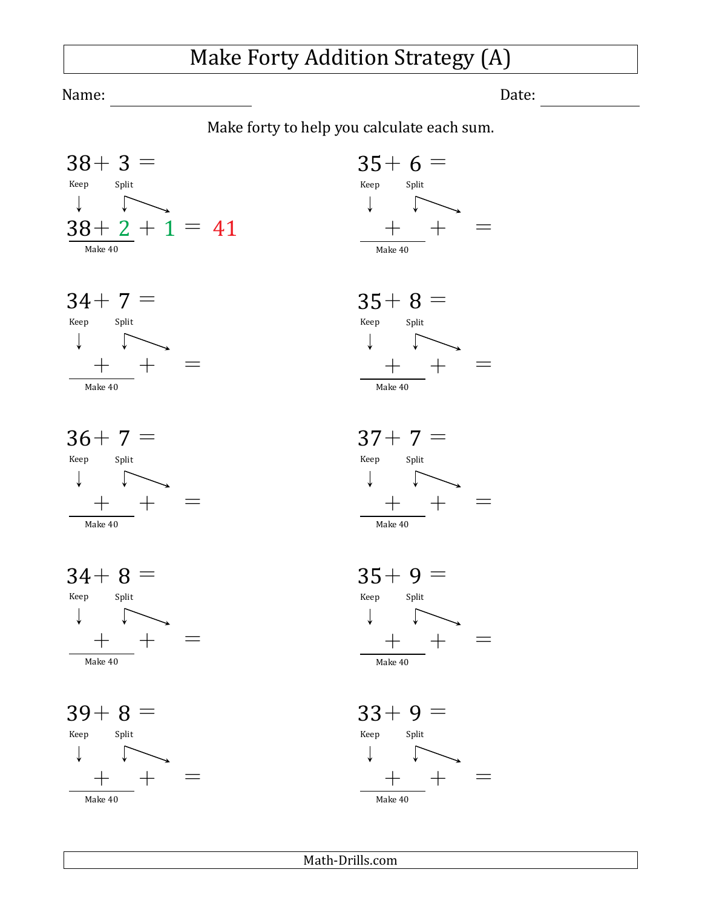## Make Forty Addition Strategy (A)

Name: Date:

Make forty to help you calculate each sum.







 $34+8 =$ Keep Split  $\downarrow$   $\uparrow$  $+$   $+$   $=$ Make 40













Math-Drills.com